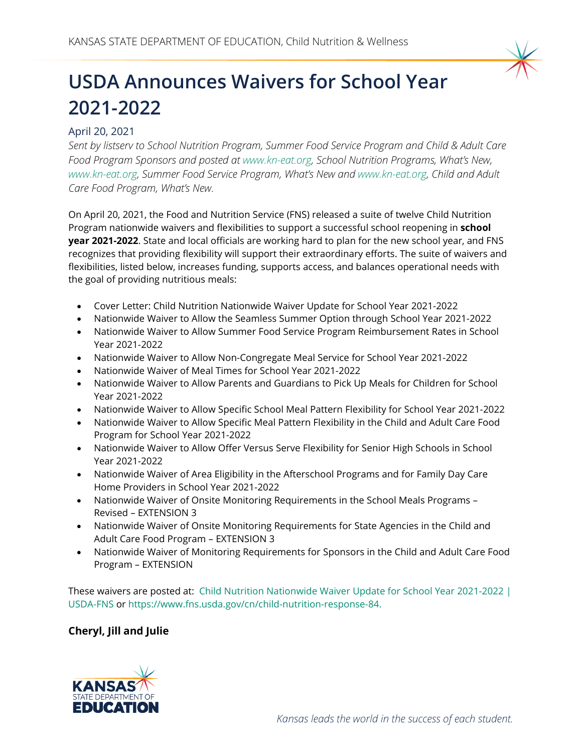

## **USDA Announces Waivers for School Year 2021-2022**

## April 20, 2021

*Sent by listserv to School Nutrition Program, Summer Food Service Program and Child & Adult Care Food Program Sponsors and posted at [www.kn-eat.org,](http://www.kn-eat.org/) School Nutrition Programs, What's New, [www.kn-eat.org,](http://www.kn-eat.org/) Summer Food Service Program, What's New and [www.kn-eat.org,](http://www.kn-eat.org/) Child and Adult Care Food Program, What's New.*

On April 20, 2021, the Food and Nutrition Service (FNS) released a suite of twelve Child Nutrition Program nationwide waivers and flexibilities to support a successful school reopening in **school year 2021-2022**. State and local officials are working hard to plan for the new school year, and FNS recognizes that providing flexibility will support their extraordinary efforts. The suite of waivers and flexibilities, listed below, increases funding, supports access, and balances operational needs with the goal of providing nutritious meals:

- Cover Letter: Child Nutrition Nationwide Waiver Update for School Year 2021-2022
- Nationwide Waiver to Allow the Seamless Summer Option through School Year 2021-2022
- Nationwide Waiver to Allow Summer Food Service Program Reimbursement Rates in School Year 2021-2022
- Nationwide Waiver to Allow Non-Congregate Meal Service for School Year 2021-2022
- Nationwide Waiver of Meal Times for School Year 2021-2022
- Nationwide Waiver to Allow Parents and Guardians to Pick Up Meals for Children for School Year 2021-2022
- Nationwide Waiver to Allow Specific School Meal Pattern Flexibility for School Year 2021-2022
- Nationwide Waiver to Allow Specific Meal Pattern Flexibility in the Child and Adult Care Food Program for School Year 2021-2022
- Nationwide Waiver to Allow Offer Versus Serve Flexibility for Senior High Schools in School Year 2021-2022
- Nationwide Waiver of Area Eligibility in the Afterschool Programs and for Family Day Care Home Providers in School Year 2021-2022
- Nationwide Waiver of Onsite Monitoring Requirements in the School Meals Programs Revised – EXTENSION 3
- Nationwide Waiver of Onsite Monitoring Requirements for State Agencies in the Child and Adult Care Food Program – EXTENSION 3
- Nationwide Waiver of Monitoring Requirements for Sponsors in the Child and Adult Care Food Program – EXTENSION

These waivers are posted at: Child Nutrition [Nationwide Waiver Update for School Year 2021-2022 |](https://www.fns.usda.gov/cn/child-nutrition-response-84)  [USDA-FNS](https://www.fns.usda.gov/cn/child-nutrition-response-84) or https://www.fns.usda.gov/cn/child-nutrition-response-84.

## **Cheryl, Jill and Julie**